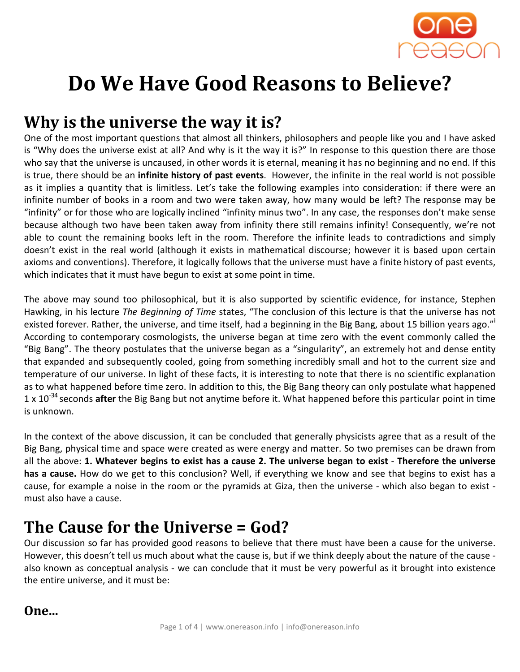

# Do We Have Good Reasons to Believe?

## Why is the universe the way it is?

One of the most important questions that almost all thinkers, philosophers and people like you and I have asked is "Why does the universe exist at all? And why is it the way it is?" In response to this question there are those who say that the universe is uncaused, in other words it is eternal, meaning it has no beginning and no end. If this is true, there should be an infinite history of past events. However, the infinite in the real world is not possible as it implies a quantity that is limitless. Let's take the following examples into consideration: if there were an infinite number of books in a room and two were taken away, how many would be left? The response may be "infinity" or for those who are logically inclined "infinity minus two". In any case, the responses don't make sense because although two have been taken away from infinity there still remains infinity! Consequently, we're not able to count the remaining books left in the room. Therefore the infinite leads to contradictions and simply doesn't exist in the real world (although it exists in mathematical discourse; however it is based upon certain axioms and conventions). Therefore, it logically follows that the universe must have a finite history of past events, which indicates that it must have begun to exist at some point in time.

The above may sound too philosophical, but it is also supported by scientific evidence, for instance, Stephen Hawking, in his lecture The Beginning of Time states, "The conclusion of this lecture is that the universe has not existed forever. Rather, the universe, and time itself, had a beginning in the Big Bang, about 15 billion years ago." According to contemporary cosmologists, the universe began at time zero with the event commonly called the "Big Bang". The theory postulates that the universe began as a "singularity", an extremely hot and dense entity that expanded and subsequently cooled, going from something incredibly small and hot to the current size and temperature of our universe. In light of these facts, it is interesting to note that there is no scientific explanation as to what happened before time zero. In addition to this, the Big Bang theory can only postulate what happened 1 x  $10^{-34}$  seconds after the Big Bang but not anytime before it. What happened before this particular point in time is unknown.

In the context of the above discussion, it can be concluded that generally physicists agree that as a result of the Big Bang, physical time and space were created as were energy and matter. So two premises can be drawn from all the above: 1. Whatever begins to exist has a cause 2. The universe began to exist - Therefore the universe has a cause. How do we get to this conclusion? Well, if everything we know and see that begins to exist has a cause, for example a noise in the room or the pyramids at Giza, then the universe - which also began to exist must also have a cause.

### The Cause for the Universe = God?

Our discussion so far has provided good reasons to believe that there must have been a cause for the universe. However, this doesn't tell us much about what the cause is, but if we think deeply about the nature of the cause also known as conceptual analysis - we can conclude that it must be very powerful as it brought into existence the entire universe, and it must be:

#### One...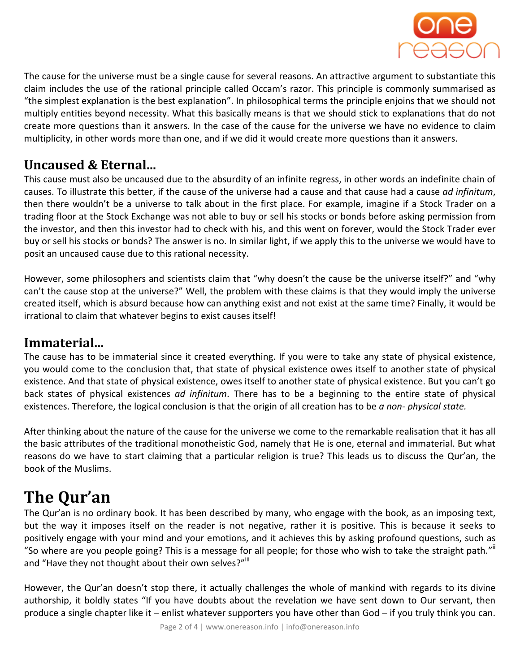

The cause for the universe must be a single cause for several reasons. An attractive argument to substantiate this claim includes the use of the rational principle called Occam's razor. This principle is commonly summarised as "the simplest explanation is the best explanation". In philosophical terms the principle enjoins that we should not multiply entities beyond necessity. What this basically means is that we should stick to explanations that do not create more questions than it answers. In the case of the cause for the universe we have no evidence to claim multiplicity, in other words more than one, and if we did it would create more questions than it answers.

#### Uncaused & Eternal...

This cause must also be uncaused due to the absurdity of an infinite regress, in other words an indefinite chain of causes. To illustrate this better, if the cause of the universe had a cause and that cause had a cause ad infinitum, then there wouldn't be a universe to talk about in the first place. For example, imagine if a Stock Trader on a trading floor at the Stock Exchange was not able to buy or sell his stocks or bonds before asking permission from the investor, and then this investor had to check with his, and this went on forever, would the Stock Trader ever buy or sell his stocks or bonds? The answer is no. In similar light, if we apply this to the universe we would have to posit an uncaused cause due to this rational necessity.

However, some philosophers and scientists claim that "why doesn't the cause be the universe itself?" and "why can't the cause stop at the universe?" Well, the problem with these claims is that they would imply the universe created itself, which is absurd because how can anything exist and not exist at the same time? Finally, it would be irrational to claim that whatever begins to exist causes itself!

#### Immaterial...

The cause has to be immaterial since it created everything. If you were to take any state of physical existence, you would come to the conclusion that, that state of physical existence owes itself to another state of physical existence. And that state of physical existence, owes itself to another state of physical existence. But you can't go back states of physical existences ad infinitum. There has to be a beginning to the entire state of physical existences. Therefore, the logical conclusion is that the origin of all creation has to be a non- physical state.

After thinking about the nature of the cause for the universe we come to the remarkable realisation that it has all the basic attributes of the traditional monotheistic God, namely that He is one, eternal and immaterial. But what reasons do we have to start claiming that a particular religion is true? This leads us to discuss the Qur'an, the book of the Muslims.

## The Qur'an

The Qur'an is no ordinary book. It has been described by many, who engage with the book, as an imposing text, but the way it imposes itself on the reader is not negative, rather it is positive. This is because it seeks to positively engage with your mind and your emotions, and it achieves this by asking profound questions, such as "So where are you people going? This is a message for all people; for those who wish to take the straight path."" and "Have they not thought about their own selves?"<sup>iii</sup>

However, the Qur'an doesn't stop there, it actually challenges the whole of mankind with regards to its divine authorship, it boldly states "If you have doubts about the revelation we have sent down to Our servant, then produce a single chapter like it – enlist whatever supporters you have other than God – if you truly think you can.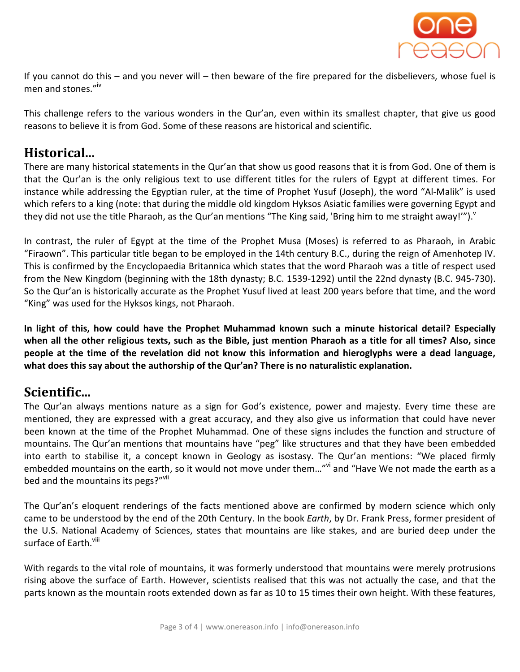

If you cannot do this – and you never will – then beware of the fire prepared for the disbelievers, whose fuel is men and stones."<sup>iv</sup>

This challenge refers to the various wonders in the Qur'an, even within its smallest chapter, that give us good reasons to believe it is from God. Some of these reasons are historical and scientific.

#### Historical...

There are many historical statements in the Qur'an that show us good reasons that it is from God. One of them is that the Qur'an is the only religious text to use different titles for the rulers of Egypt at different times. For instance while addressing the Egyptian ruler, at the time of Prophet Yusuf (Joseph), the word "Al-Malik" is used which refers to a king (note: that during the middle old kingdom Hyksos Asiatic families were governing Egypt and they did not use the title Pharaoh, as the Qur'an mentions "The King said, 'Bring him to me straight away!'"). "

In contrast, the ruler of Egypt at the time of the Prophet Musa (Moses) is referred to as Pharaoh, in Arabic "Firaown". This particular title began to be employed in the 14th century B.C., during the reign of Amenhotep IV. This is confirmed by the Encyclopaedia Britannica which states that the word Pharaoh was a title of respect used from the New Kingdom (beginning with the 18th dynasty; B.C. 1539-1292) until the 22nd dynasty (B.C. 945-730). So the Qur'an is historically accurate as the Prophet Yusuf lived at least 200 years before that time, and the word "King" was used for the Hyksos kings, not Pharaoh.

In light of this, how could have the Prophet Muhammad known such a minute historical detail? Especially when all the other religious texts, such as the Bible, just mention Pharaoh as a title for all times? Also, since people at the time of the revelation did not know this information and hieroglyphs were a dead language, what does this say about the authorship of the Qur'an? There is no naturalistic explanation.

#### Scientific...

The Qur'an always mentions nature as a sign for God's existence, power and majesty. Every time these are mentioned, they are expressed with a great accuracy, and they also give us information that could have never been known at the time of the Prophet Muhammad. One of these signs includes the function and structure of mountains. The Qur'an mentions that mountains have "peg" like structures and that they have been embedded into earth to stabilise it, a concept known in Geology as isostasy. The Qur'an mentions: "We placed firmly embedded mountains on the earth, so it would not move under them..."<sup>vi</sup> and "Have We not made the earth as a bed and the mountains its pegs?"<sup>vii</sup>

The Qur'an's eloquent renderings of the facts mentioned above are confirmed by modern science which only came to be understood by the end of the 20th Century. In the book Earth, by Dr. Frank Press, former president of the U.S. National Academy of Sciences, states that mountains are like stakes, and are buried deep under the surface of Earth.<sup>viii</sup>

With regards to the vital role of mountains, it was formerly understood that mountains were merely protrusions rising above the surface of Earth. However, scientists realised that this was not actually the case, and that the parts known as the mountain roots extended down as far as 10 to 15 times their own height. With these features,